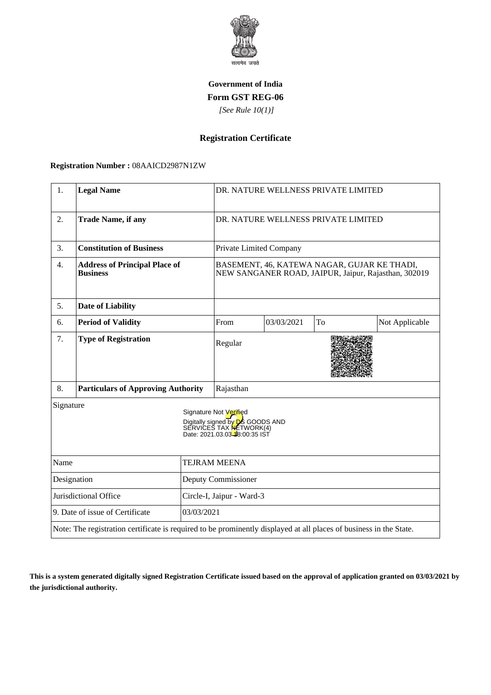

## **Government of India Form GST REG-06**

 *[See Rule 10(1)]*

# **Registration Certificate**

### **Registration Number :** 08AAICD2987N1ZW

| 1.                                            | <b>Legal Name</b>                                                                                                  |                           |                                                                                                                                        | DR. NATURE WELLNESS PRIVATE LIMITED |    |                |
|-----------------------------------------------|--------------------------------------------------------------------------------------------------------------------|---------------------------|----------------------------------------------------------------------------------------------------------------------------------------|-------------------------------------|----|----------------|
| 2.                                            | <b>Trade Name, if any</b>                                                                                          |                           | DR. NATURE WELLNESS PRIVATE LIMITED                                                                                                    |                                     |    |                |
| 3.                                            | <b>Constitution of Business</b>                                                                                    |                           | Private Limited Company                                                                                                                |                                     |    |                |
| $\overline{4}$ .                              | <b>Address of Principal Place of</b><br><b>Business</b>                                                            |                           | BASEMENT, 46, KATEWA NAGAR, GUJAR KE THADI,<br>NEW SANGANER ROAD, JAIPUR, Jaipur, Rajasthan, 302019                                    |                                     |    |                |
| 5.                                            | <b>Date of Liability</b>                                                                                           |                           |                                                                                                                                        |                                     |    |                |
| 6.                                            | <b>Period of Validity</b>                                                                                          |                           | From                                                                                                                                   | 03/03/2021                          | To | Not Applicable |
| 7.                                            | <b>Type of Registration</b>                                                                                        |                           | Regular                                                                                                                                |                                     |    |                |
| 8.                                            | <b>Particulars of Approving Authority</b>                                                                          |                           | Rajasthan                                                                                                                              |                                     |    |                |
| Signature                                     |                                                                                                                    |                           | Signature Not Verified<br>Digitally signed by <b>D</b> S GOODS AND<br>SERVICES TAX <b>NE</b> TWORK(4)<br>Date: 2021.03.03-48:00:35 IST |                                     |    |                |
| Name                                          |                                                                                                                    | <b>TEJRAM MEENA</b>       |                                                                                                                                        |                                     |    |                |
| Designation                                   |                                                                                                                    | Deputy Commissioner       |                                                                                                                                        |                                     |    |                |
| Jurisdictional Office                         |                                                                                                                    | Circle-I, Jaipur - Ward-3 |                                                                                                                                        |                                     |    |                |
| 9. Date of issue of Certificate<br>03/03/2021 |                                                                                                                    |                           |                                                                                                                                        |                                     |    |                |
|                                               | Note: The registration certificate is required to be prominently displayed at all places of business in the State. |                           |                                                                                                                                        |                                     |    |                |

**This is a system generated digitally signed Registration Certificate issued based on the approval of application granted on 03/03/2021 by the jurisdictional authority.**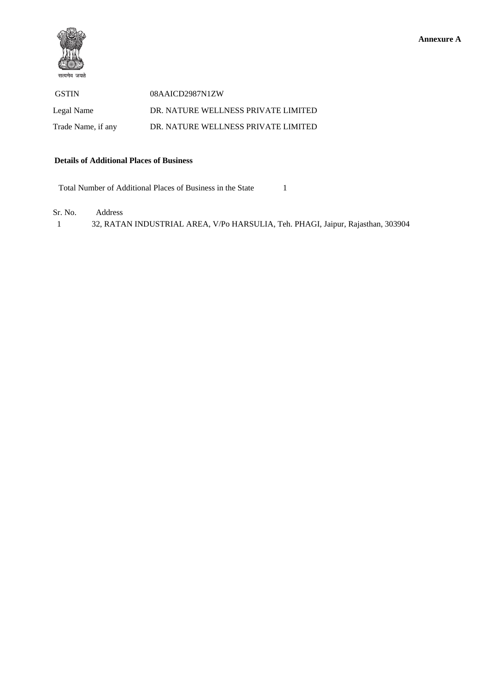

 GSTIN 08AAICD2987N1ZW Legal Name DR. NATURE WELLNESS PRIVATE LIMITED Trade Name, if any DR. NATURE WELLNESS PRIVATE LIMITED

#### **Details of Additional Places of Business**

Total Number of Additional Places of Business in the State 1

Sr. No. Address

1 32, RATAN INDUSTRIAL AREA, V/Po HARSULIA, Teh. PHAGI, Jaipur, Rajasthan, 303904